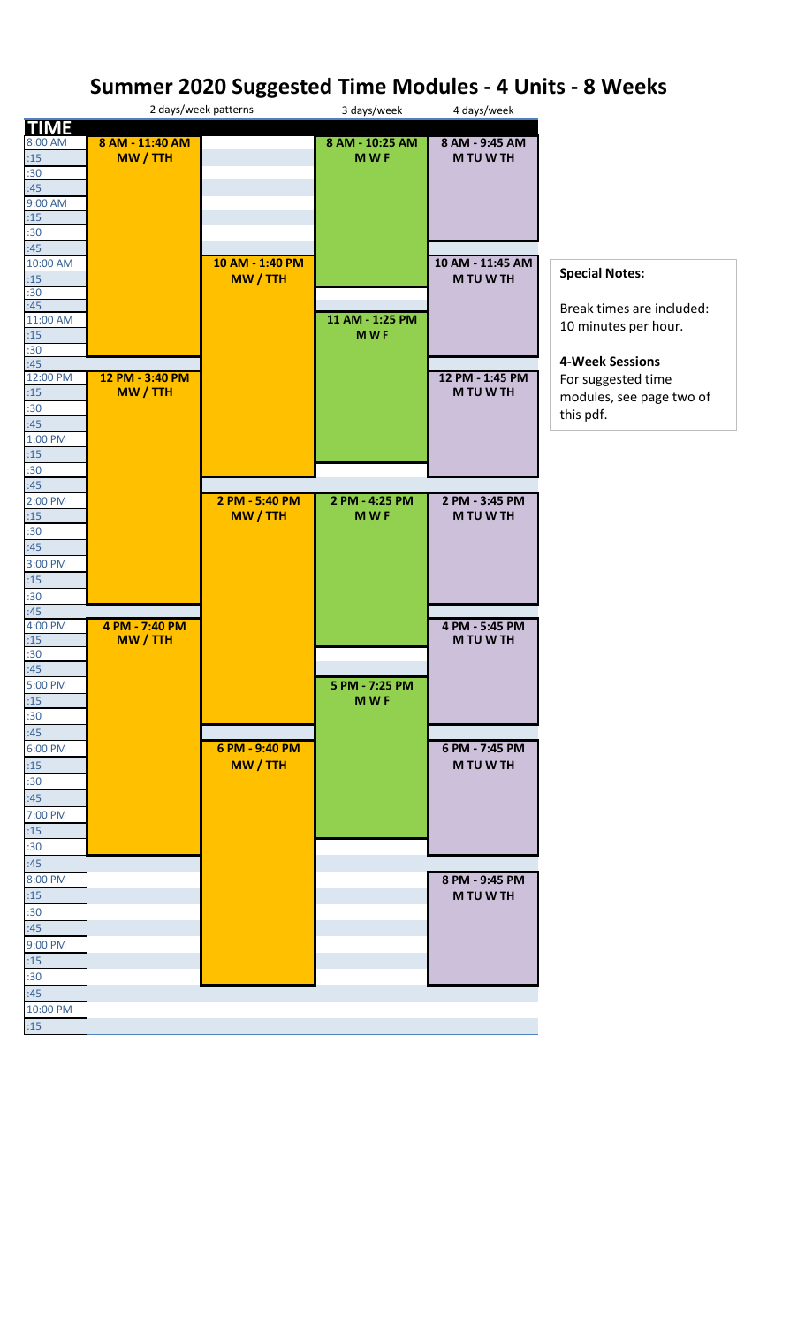## **Summer 2020 Suggested Time Modules - 4 Units - 8 Weeks**

|                |                 | 2 days/week patterns | 3 days/week     | 4 days/week                 |                           |
|----------------|-----------------|----------------------|-----------------|-----------------------------|---------------------------|
| <b>TIME</b>    |                 |                      |                 |                             |                           |
| 8:00 AM        | 8 AM - 11:40 AM |                      | 8 AM - 10:25 AM | 8 AM - 9:45 AM              |                           |
| :15            | MW / TTH        |                      | <b>MWF</b>      | <b>MTUWTH</b>               |                           |
| :30            |                 |                      |                 |                             |                           |
| :45            |                 |                      |                 |                             |                           |
| 9:00 AM        |                 |                      |                 |                             |                           |
| :15<br>:30     |                 |                      |                 |                             |                           |
| :45            |                 |                      |                 |                             |                           |
| 10:00 AM       |                 | 10 AM - 1:40 PM      |                 | 10 AM - 11:45 AM            |                           |
| :15            |                 | MW / TTH             |                 | M TU W TH                   | <b>Special Notes:</b>     |
| :30            |                 |                      |                 |                             |                           |
| :45            |                 |                      |                 |                             | Break times are included: |
| 11:00 AM       |                 |                      | 11 AM - 1:25 PM |                             |                           |
| :15            |                 |                      | <b>MWF</b>      |                             | 10 minutes per hour.      |
| :30            |                 |                      |                 |                             |                           |
| :45            |                 |                      |                 |                             | <b>4-Week Sessions</b>    |
| 12:00 PM       | 12 PM - 3:40 PM |                      |                 | 12 PM - 1:45 PM             | For suggested time        |
| :15            | MW / TTH        |                      |                 | M TU W TH                   | modules, see page two of  |
| :30            |                 |                      |                 |                             | this pdf.                 |
| :45            |                 |                      |                 |                             |                           |
| 1:00 PM        |                 |                      |                 |                             |                           |
| :15            |                 |                      |                 |                             |                           |
| :30            |                 |                      |                 |                             |                           |
| :45            |                 |                      |                 |                             |                           |
| 2:00 PM        |                 | 2 PM - 5:40 PM       | 2 PM - 4:25 PM  | 2 PM - 3:45 PM              |                           |
| :15            |                 | MW / TTH             | <b>MWF</b>      | M TU W TH                   |                           |
| :30            |                 |                      |                 |                             |                           |
| :45            |                 |                      |                 |                             |                           |
| 3:00 PM        |                 |                      |                 |                             |                           |
| :15            |                 |                      |                 |                             |                           |
| :30            |                 |                      |                 |                             |                           |
| :45            | 4 PM - 7:40 PM  |                      |                 |                             |                           |
| 4:00 PM<br>:15 | MW / TTH        |                      |                 | 4 PM - 5:45 PM<br>M TU W TH |                           |
| :30            |                 |                      |                 |                             |                           |
| :45            |                 |                      |                 |                             |                           |
| 5:00 PM        |                 |                      | 5 PM - 7:25 PM  |                             |                           |
| :15            |                 |                      | <b>MWF</b>      |                             |                           |
| :30            |                 |                      |                 |                             |                           |
| :45            |                 |                      |                 |                             |                           |
| 6:00 PM        |                 | 6 PM - 9:40 PM       |                 | 6 PM - 7:45 PM              |                           |
| :15            |                 | MW / TTH             |                 | M TU W TH                   |                           |
|                |                 |                      |                 |                             |                           |
| :30            |                 |                      |                 |                             |                           |
| :45            |                 |                      |                 |                             |                           |
| 7:00 PM        |                 |                      |                 |                             |                           |
| :15            |                 |                      |                 |                             |                           |
| :30            |                 |                      |                 |                             |                           |
| :45            |                 |                      |                 |                             |                           |
| 8:00 PM        |                 |                      |                 | 8 PM - 9:45 PM              |                           |
| :15            |                 |                      |                 | M TU W TH                   |                           |
| :30            |                 |                      |                 |                             |                           |
| :45            |                 |                      |                 |                             |                           |
| 9:00 PM        |                 |                      |                 |                             |                           |
| :15            |                 |                      |                 |                             |                           |
| :30            |                 |                      |                 |                             |                           |
| :45            |                 |                      |                 |                             |                           |
| 10:00 PM       |                 |                      |                 |                             |                           |
| :15            |                 |                      |                 |                             |                           |
|                |                 |                      |                 |                             |                           |